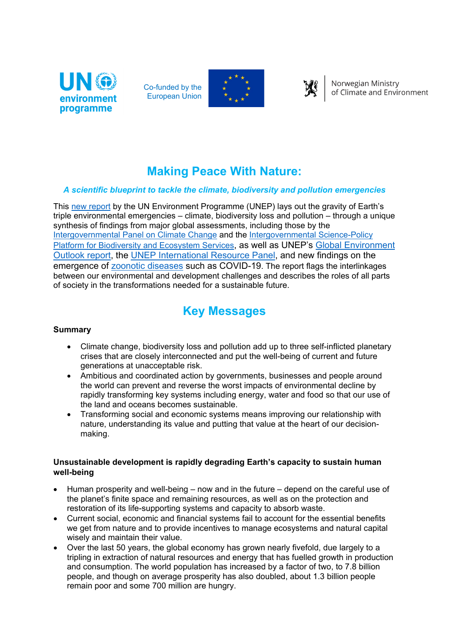

Co-funded by the European Union





Norwegian Ministry of Climate and Environment

## **Making Peace With Nature:**

## *A scientific blueprint to tackle the climate, biodiversity and pollution emergencies*

This [new report](https://www.unep.org/resources/making-peace-nature) by the UN Environment Programme (UNEP) lays out the gravity of Earth's triple environmental emergencies – climate, biodiversity loss and pollution – through a unique synthesis of findings from major global assessments, including those by the [Intergovernmental Panel on Climate Change](https://www.ipcc.ch/) and the [Intergovernmental Science-Policy](https://www.ipbes.net/)  [Platform for Biodiversity and Ecosystem Services,](https://www.ipbes.net/) as well as UNEP's [Global Environment](https://www.unep.org/resources/global-environment-outlook-6)  [Outlook report,](https://www.unep.org/resources/global-environment-outlook-6) the [UNEP International Resource Panel,](https://www.resourcepanel.org/) and new findings on the emergence of [zoonotic diseases](https://www.unenvironment.org/resources/report/preventing-future-zoonotic-disease-outbreaks-protecting-environment-animals-and) such as COVID-19. The report flags the interlinkages between our environmental and development challenges and describes the roles of all parts of society in the transformations needed for a sustainable future.

# **Key Messages**

#### **Summary**

- Climate change, biodiversity loss and pollution add up to three self-inflicted planetary crises that are closely interconnected and put the well-being of current and future generations at unacceptable risk.
- Ambitious and coordinated action by governments, businesses and people around the world can prevent and reverse the worst impacts of environmental decline by rapidly transforming key systems including energy, water and food so that our use of the land and oceans becomes sustainable.
- Transforming social and economic systems means improving our relationship with nature, understanding its value and putting that value at the heart of our decisionmaking.

#### **Unsustainable development is rapidly degrading Earth's capacity to sustain human well-being**

- Human prosperity and well-being  $-$  now and in the future  $-$  depend on the careful use of the planet's finite space and remaining resources, as well as on the protection and restoration of its life-supporting systems and capacity to absorb waste.
- Current social, economic and financial systems fail to account for the essential benefits we get from nature and to provide incentives to manage ecosystems and natural capital wisely and maintain their value.
- Over the last 50 years, the global economy has grown nearly fivefold, due largely to a tripling in extraction of natural resources and energy that has fuelled growth in production and consumption. The world population has increased by a factor of two, to 7.8 billion people, and though on average prosperity has also doubled, about 1.3 billion people remain poor and some 700 million are hungry.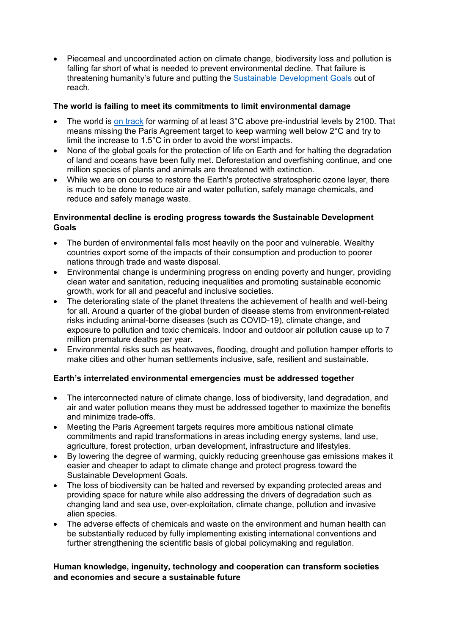• Piecemeal and uncoordinated action on climate change, biodiversity loss and pollution is falling far short of what is needed to prevent environmental decline. That failure is threatening humanity's future and putting the [Sustainable Development Goals](https://www.undp.org/content/undp/en/home/sustainable-development-goals.html) out of reach.

## **The world is failing to meet its commitments to limit environmental damage**

- The world is [on track](https://www.unenvironment.org/emissions-gap-report-2020) for warming of at least 3°C above pre-industrial levels by 2100. That means missing the Paris Agreement target to keep warming well below 2°C and try to limit the increase to 1.5°C in order to avoid the worst impacts.
- None of the global goals for the protection of life on Earth and for halting the degradation of land and oceans have been fully met. Deforestation and overfishing continue, and one million species of plants and animals are threatened with extinction.
- While we are on course to restore the Earth's protective stratospheric ozone layer, there is much to be done to reduce air and water pollution, safely manage chemicals, and reduce and safely manage waste.

## **Environmental decline is eroding progress towards the Sustainable Development Goals**

- The burden of environmental falls most heavily on the poor and vulnerable. Wealthy countries export some of the impacts of their consumption and production to poorer nations through trade and waste disposal.
- Environmental change is undermining progress on ending poverty and hunger, providing clean water and sanitation, reducing inequalities and promoting sustainable economic growth, work for all and peaceful and inclusive societies.
- The deteriorating state of the planet threatens the achievement of health and well-being for all. Around a quarter of the global burden of disease stems from environment-related risks including animal-borne diseases (such as COVID-19), climate change, and exposure to pollution and toxic chemicals. Indoor and outdoor air pollution cause up to 7 million premature deaths per year.
- Environmental risks such as heatwaves, flooding, drought and pollution hamper efforts to make cities and other human settlements inclusive, safe, resilient and sustainable.

#### **Earth's interrelated environmental emergencies must be addressed together**

- The interconnected nature of climate change, loss of biodiversity, land degradation, and air and water pollution means they must be addressed together to maximize the benefits and minimize trade-offs.
- Meeting the Paris Agreement targets requires more ambitious national climate commitments and rapid transformations in areas including energy systems, land use, agriculture, forest protection, urban development, infrastructure and lifestyles.
- By lowering the degree of warming, quickly reducing greenhouse gas emissions makes it easier and cheaper to adapt to climate change and protect progress toward the Sustainable Development Goals.
- The loss of biodiversity can be halted and reversed by expanding protected areas and providing space for nature while also addressing the drivers of degradation such as changing land and sea use, over-exploitation, climate change, pollution and invasive alien species.
- The adverse effects of chemicals and waste on the environment and human health can be substantially reduced by fully implementing existing international conventions and further strengthening the scientific basis of global policymaking and regulation.

## **Human knowledge, ingenuity, technology and cooperation can transform societies and economies and secure a sustainable future**